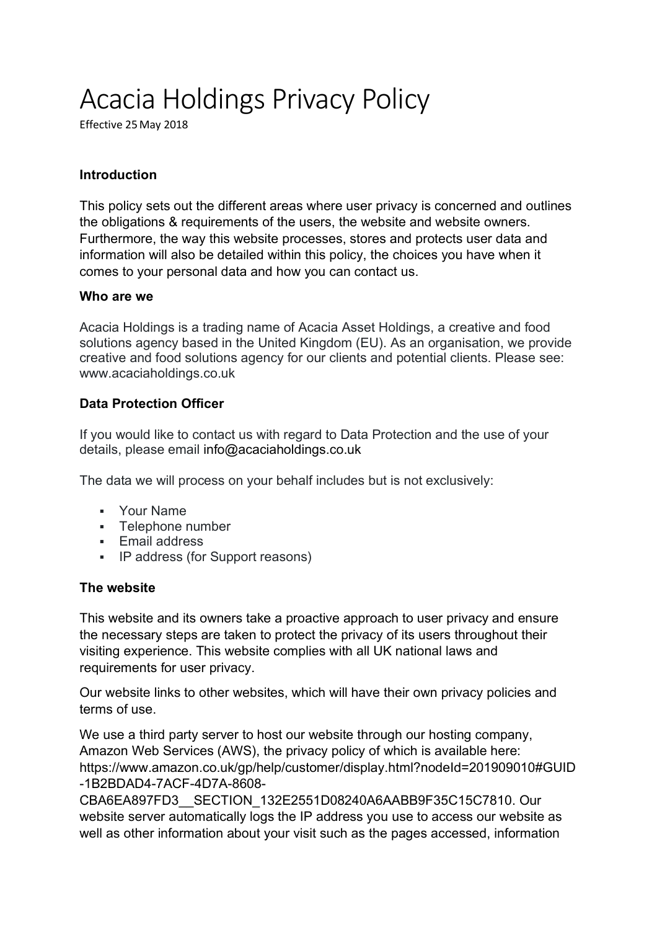# Acacia Holdings Privacy Policy

Effective 25 May 2018

# **Introduction**

This policy sets out the different areas where user privacy is concerned and outlines the obligations & requirements of the users, the website and website owners. Furthermore, the way this website processes, stores and protects user data and information will also be detailed within this policy, the choices you have when it comes to your personal data and how you can contact us.

#### **Who are we**

Acacia Holdings is a trading name of Acacia Asset Holdings, a creative and food solutions agency based in the United Kingdom (EU). As an organisation, we provide creative and food solutions agency for our clients and potential clients. Please see: www.acaciaholdings.co.uk

## **Data Protection Officer**

If you would like to contact us with regard to Data Protection and the use of your details, please email info@acaciaholdings.co.uk

The data we will process on your behalf includes but is not exclusively:

- § Your Name
- § Telephone number
- § Email address
- § IP address (for Support reasons)

#### **The website**

This website and its owners take a proactive approach to user privacy and ensure the necessary steps are taken to protect the privacy of its users throughout their visiting experience. This website complies with all UK national laws and requirements for user privacy.

Our website links to other websites, which will have their own privacy policies and terms of use.

We use a third party server to host our website through our hosting company, Amazon Web Services (AWS), the privacy policy of which is available here: https://www.amazon.co.uk/gp/help/customer/display.html?nodeId=201909010#GUID -1B2BDAD4-7ACF-4D7A-8608-

CBA6EA897FD3\_\_SECTION\_132E2551D08240A6AABB9F35C15C7810. Our website server automatically logs the IP address you use to access our website as well as other information about your visit such as the pages accessed, information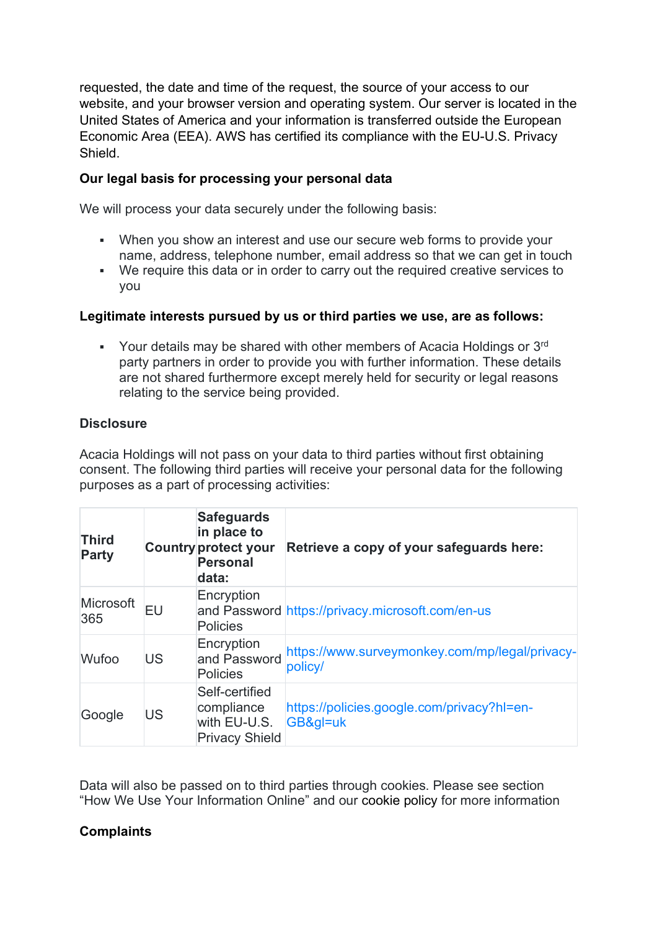requested, the date and time of the request, the source of your access to our website, and your browser version and operating system. Our server is located in the United States of America and your information is transferred outside the European Economic Area (EEA). AWS has certified its compliance with the EU-U.S. Privacy Shield.

# **Our legal basis for processing your personal data**

We will process your data securely under the following basis:

- When you show an interest and use our secure web forms to provide your name, address, telephone number, email address so that we can get in touch
- We require this data or in order to carry out the required creative services to you

## **Legitimate interests pursued by us or third parties we use, are as follows:**

Your details may be shared with other members of Acacia Holdings or 3rd party partners in order to provide you with further information. These details are not shared furthermore except merely held for security or legal reasons relating to the service being provided.

## **Disclosure**

Acacia Holdings will not pass on your data to third parties without first obtaining consent. The following third parties will receive your personal data for the following purposes as a part of processing activities:

| <b>Third</b><br><b>Party</b> |           | <b>Safeguards</b><br>in place to<br><b>Country protect your</b><br><b>Personal</b><br>data: | Retrieve a copy of your safeguards here:                  |
|------------------------------|-----------|---------------------------------------------------------------------------------------------|-----------------------------------------------------------|
| Microsoft<br>365             | <b>EU</b> | Encryption<br><b>Policies</b>                                                               | and Password https://privacy.microsoft.com/en-us          |
| Wufoo                        | <b>US</b> | Encryption<br>and Password<br><b>Policies</b>                                               | https://www.surveymonkey.com/mp/legal/privacy-<br>policy/ |
| Google                       | US        | Self-certified<br>compliance<br>with EU-U.S.<br><b>Privacy Shield</b>                       | https://policies.google.com/privacy?hl=en-<br>GB≷=uk      |

Data will also be passed on to third parties through cookies. Please see section "How We Use Your Information Online" and our cookie policy for more information

# **Complaints**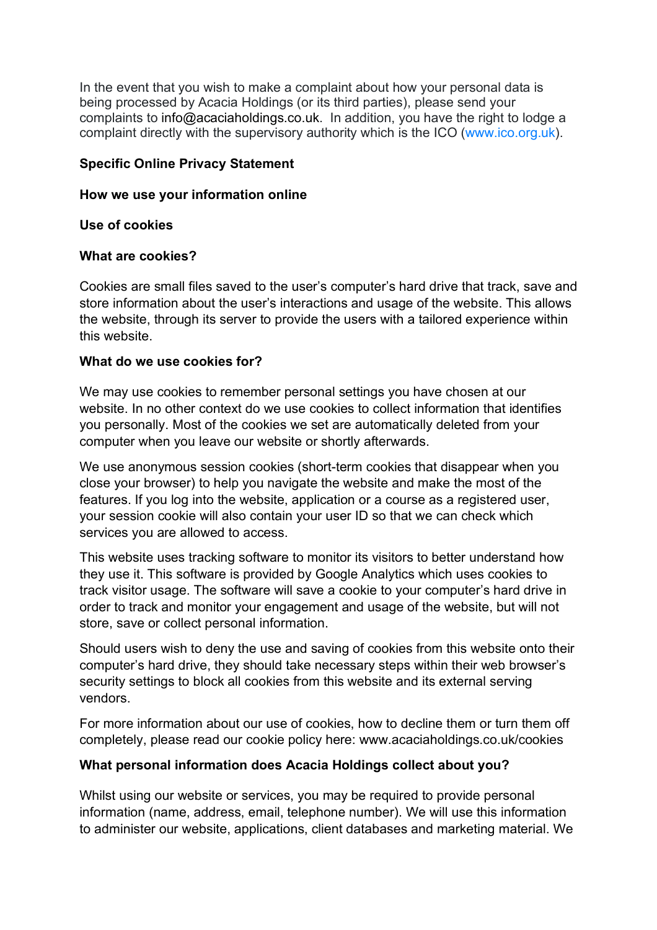In the event that you wish to make a complaint about how your personal data is being processed by Acacia Holdings (or its third parties), please send your complaints to info@acaciaholdings.co.uk. In addition, you have the right to lodge a complaint directly with the supervisory authority which is the ICO (www.ico.org.uk).

## **Specific Online Privacy Statement**

#### **How we use your information online**

#### **Use of cookies**

#### **What are cookies?**

Cookies are small files saved to the user's computer's hard drive that track, save and store information about the user's interactions and usage of the website. This allows the website, through its server to provide the users with a tailored experience within this website.

#### **What do we use cookies for?**

We may use cookies to remember personal settings you have chosen at our website. In no other context do we use cookies to collect information that identifies you personally. Most of the cookies we set are automatically deleted from your computer when you leave our website or shortly afterwards.

We use anonymous session cookies (short-term cookies that disappear when you close your browser) to help you navigate the website and make the most of the features. If you log into the website, application or a course as a registered user, your session cookie will also contain your user ID so that we can check which services you are allowed to access.

This website uses tracking software to monitor its visitors to better understand how they use it. This software is provided by Google Analytics which uses cookies to track visitor usage. The software will save a cookie to your computer's hard drive in order to track and monitor your engagement and usage of the website, but will not store, save or collect personal information.

Should users wish to deny the use and saving of cookies from this website onto their computer's hard drive, they should take necessary steps within their web browser's security settings to block all cookies from this website and its external serving vendors.

For more information about our use of cookies, how to decline them or turn them off completely, please read our cookie policy here: www.acaciaholdings.co.uk/cookies

#### **What personal information does Acacia Holdings collect about you?**

Whilst using our website or services, you may be required to provide personal information (name, address, email, telephone number). We will use this information to administer our website, applications, client databases and marketing material. We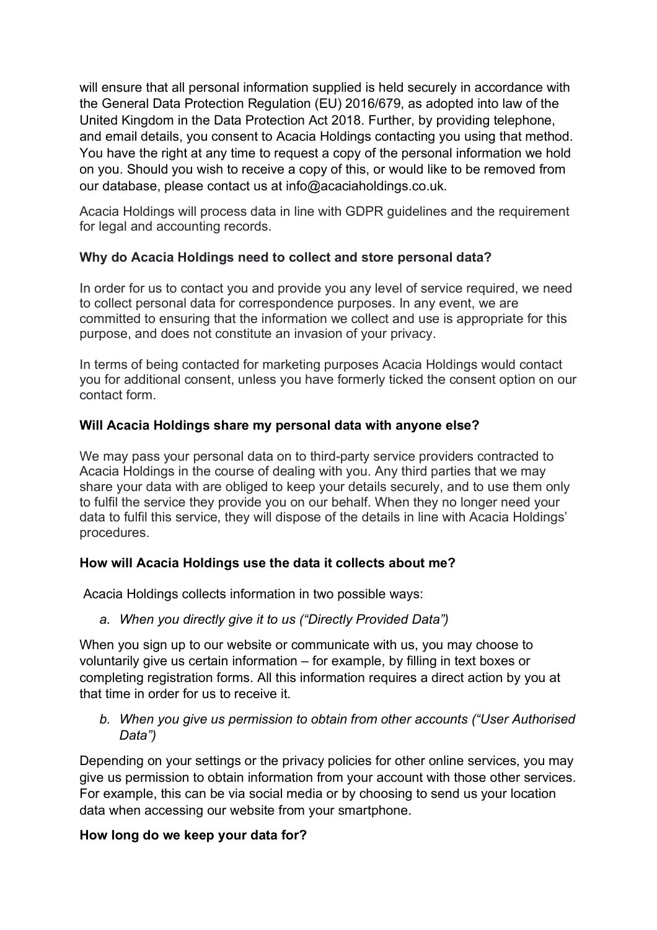will ensure that all personal information supplied is held securely in accordance with the General Data Protection Regulation (EU) 2016/679, as adopted into law of the United Kingdom in the Data Protection Act 2018. Further, by providing telephone, and email details, you consent to Acacia Holdings contacting you using that method. You have the right at any time to request a copy of the personal information we hold on you. Should you wish to receive a copy of this, or would like to be removed from our database, please contact us at info@acaciaholdings.co.uk.

Acacia Holdings will process data in line with GDPR guidelines and the requirement for legal and accounting records.

# **Why do Acacia Holdings need to collect and store personal data?**

In order for us to contact you and provide you any level of service required, we need to collect personal data for correspondence purposes. In any event, we are committed to ensuring that the information we collect and use is appropriate for this purpose, and does not constitute an invasion of your privacy.

In terms of being contacted for marketing purposes Acacia Holdings would contact you for additional consent, unless you have formerly ticked the consent option on our contact form.

## **Will Acacia Holdings share my personal data with anyone else?**

We may pass your personal data on to third-party service providers contracted to Acacia Holdings in the course of dealing with you. Any third parties that we may share your data with are obliged to keep your details securely, and to use them only to fulfil the service they provide you on our behalf. When they no longer need your data to fulfil this service, they will dispose of the details in line with Acacia Holdings' procedures.

# **How will Acacia Holdings use the data it collects about me?**

Acacia Holdings collects information in two possible ways:

*a. When you directly give it to us ("Directly Provided Data")*

When you sign up to our website or communicate with us, you may choose to voluntarily give us certain information – for example, by filling in text boxes or completing registration forms. All this information requires a direct action by you at that time in order for us to receive it.

*b. When you give us permission to obtain from other accounts ("User Authorised Data")*

Depending on your settings or the privacy policies for other online services, you may give us permission to obtain information from your account with those other services. For example, this can be via social media or by choosing to send us your location data when accessing our website from your smartphone.

#### **How long do we keep your data for?**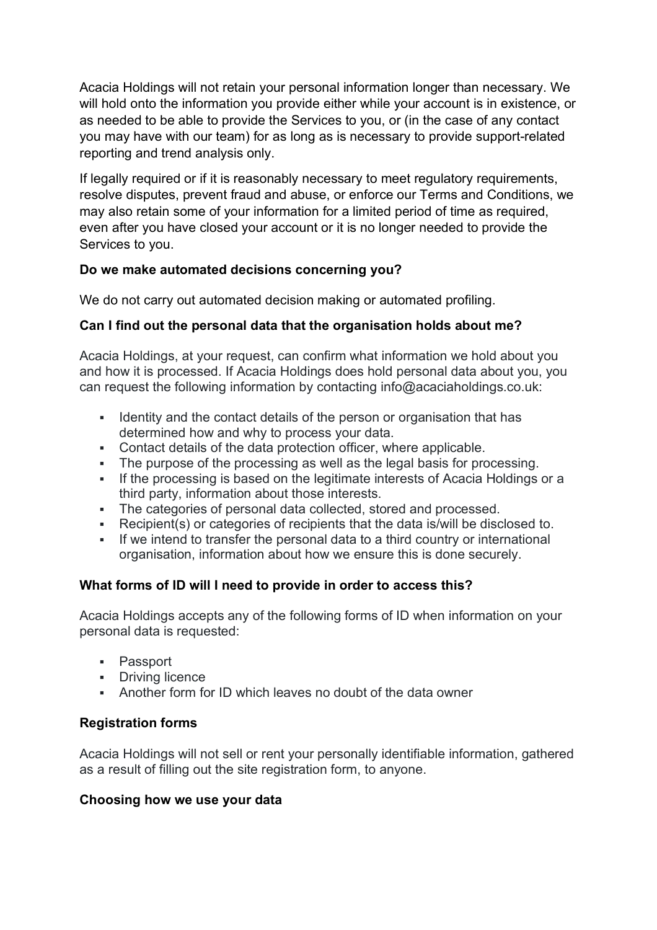Acacia Holdings will not retain your personal information longer than necessary. We will hold onto the information you provide either while your account is in existence, or as needed to be able to provide the Services to you, or (in the case of any contact you may have with our team) for as long as is necessary to provide support-related reporting and trend analysis only.

If legally required or if it is reasonably necessary to meet regulatory requirements, resolve disputes, prevent fraud and abuse, or enforce our Terms and Conditions, we may also retain some of your information for a limited period of time as required, even after you have closed your account or it is no longer needed to provide the Services to you.

# **Do we make automated decisions concerning you?**

We do not carry out automated decision making or automated profiling.

# **Can I find out the personal data that the organisation holds about me?**

Acacia Holdings, at your request, can confirm what information we hold about you and how it is processed. If Acacia Holdings does hold personal data about you, you can request the following information by contacting info@acaciaholdings.co.uk:

- Identity and the contact details of the person or organisation that has determined how and why to process your data.
- Contact details of the data protection officer, where applicable.
- The purpose of the processing as well as the legal basis for processing.
- If the processing is based on the legitimate interests of Acacia Holdings or a third party, information about those interests.
- The categories of personal data collected, stored and processed.
- Recipient(s) or categories of recipients that the data is/will be disclosed to.
- If we intend to transfer the personal data to a third country or international organisation, information about how we ensure this is done securely.

# **What forms of ID will I need to provide in order to access this?**

Acacia Holdings accepts any of the following forms of ID when information on your personal data is requested:

- § Passport
- § Driving licence
- Another form for ID which leaves no doubt of the data owner

#### **Registration forms**

Acacia Holdings will not sell or rent your personally identifiable information, gathered as a result of filling out the site registration form, to anyone.

#### **Choosing how we use your data**